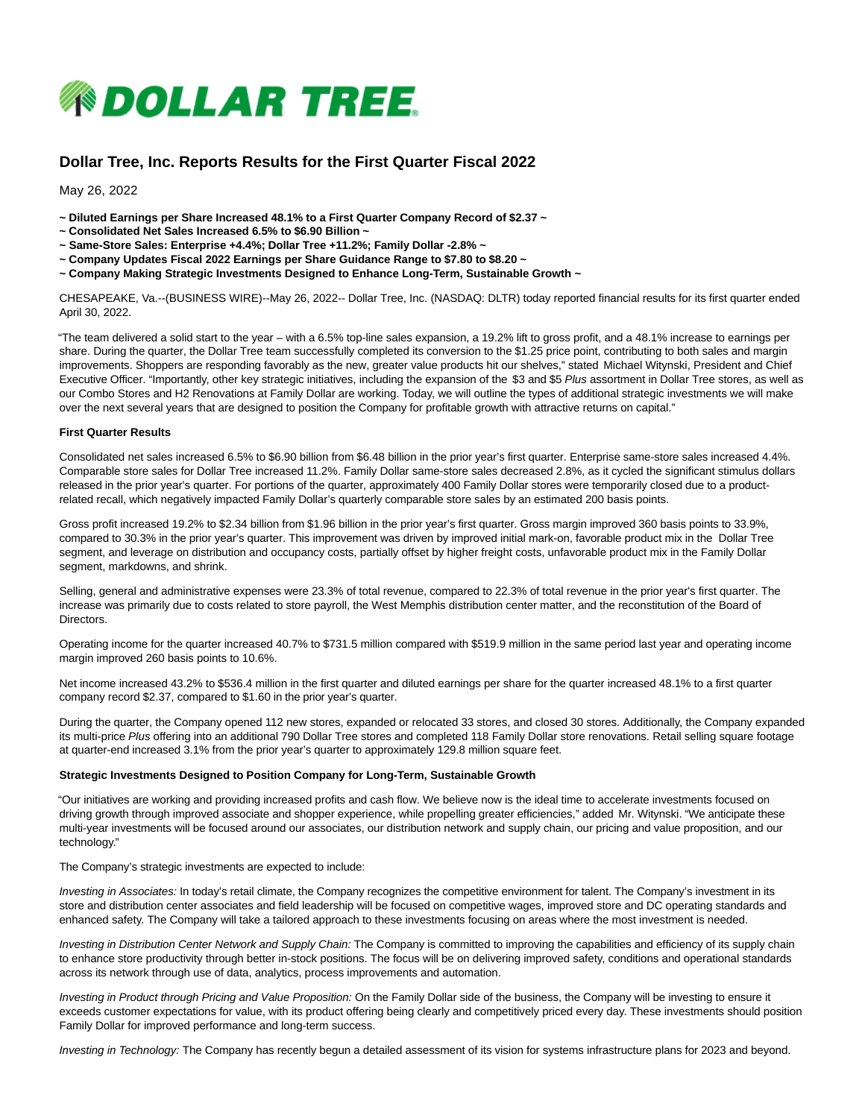

# **Dollar Tree, Inc. Reports Results for the First Quarter Fiscal 2022**

May 26, 2022

- **~ Diluted Earnings per Share Increased 48.1% to a First Quarter Company Record of \$2.37 ~**
- **~ Consolidated Net Sales Increased 6.5% to \$6.90 Billion ~**
- **~ Same-Store Sales: Enterprise +4.4%; Dollar Tree +11.2%; Family Dollar -2.8% ~**
- **~ Company Updates Fiscal 2022 Earnings per Share Guidance Range to \$7.80 to \$8.20 ~**
- **~ Company Making Strategic Investments Designed to Enhance Long-Term, Sustainable Growth ~**

CHESAPEAKE, Va.--(BUSINESS WIRE)--May 26, 2022-- Dollar Tree, Inc. (NASDAQ: DLTR) today reported financial results for its first quarter ended April 30, 2022.

"The team delivered a solid start to the year – with a 6.5% top-line sales expansion, a 19.2% lift to gross profit, and a 48.1% increase to earnings per share. During the quarter, the Dollar Tree team successfully completed its conversion to the \$1.25 price point, contributing to both sales and margin improvements. Shoppers are responding favorably as the new, greater value products hit our shelves," stated Michael Witynski, President and Chief Executive Officer. "Importantly, other key strategic initiatives, including the expansion of the \$3 and \$5 Plus assortment in Dollar Tree stores, as well as our Combo Stores and H2 Renovations at Family Dollar are working. Today, we will outline the types of additional strategic investments we will make over the next several years that are designed to position the Company for profitable growth with attractive returns on capital."

#### **First Quarter Results**

Consolidated net sales increased 6.5% to \$6.90 billion from \$6.48 billion in the prior year's first quarter. Enterprise same-store sales increased 4.4%. Comparable store sales for Dollar Tree increased 11.2%. Family Dollar same-store sales decreased 2.8%, as it cycled the significant stimulus dollars released in the prior year's quarter. For portions of the quarter, approximately 400 Family Dollar stores were temporarily closed due to a productrelated recall, which negatively impacted Family Dollar's quarterly comparable store sales by an estimated 200 basis points.

Gross profit increased 19.2% to \$2.34 billion from \$1.96 billion in the prior year's first quarter. Gross margin improved 360 basis points to 33.9%, compared to 30.3% in the prior year's quarter. This improvement was driven by improved initial mark-on, favorable product mix in the Dollar Tree segment, and leverage on distribution and occupancy costs, partially offset by higher freight costs, unfavorable product mix in the Family Dollar segment, markdowns, and shrink.

Selling, general and administrative expenses were 23.3% of total revenue, compared to 22.3% of total revenue in the prior year's first quarter. The increase was primarily due to costs related to store payroll, the West Memphis distribution center matter, and the reconstitution of the Board of Directors.

Operating income for the quarter increased 40.7% to \$731.5 million compared with \$519.9 million in the same period last year and operating income margin improved 260 basis points to 10.6%.

Net income increased 43.2% to \$536.4 million in the first quarter and diluted earnings per share for the quarter increased 48.1% to a first quarter company record \$2.37, compared to \$1.60 in the prior year's quarter.

During the quarter, the Company opened 112 new stores, expanded or relocated 33 stores, and closed 30 stores. Additionally, the Company expanded its multi-price Plus offering into an additional 790 Dollar Tree stores and completed 118 Family Dollar store renovations. Retail selling square footage at quarter-end increased 3.1% from the prior year's quarter to approximately 129.8 million square feet.

#### **Strategic Investments Designed to Position Company for Long-Term, Sustainable Growth**

"Our initiatives are working and providing increased profits and cash flow. We believe now is the ideal time to accelerate investments focused on driving growth through improved associate and shopper experience, while propelling greater efficiencies," added Mr. Witynski. "We anticipate these multi-year investments will be focused around our associates, our distribution network and supply chain, our pricing and value proposition, and our technology."

The Company's strategic investments are expected to include:

Investing in Associates: In today's retail climate, the Company recognizes the competitive environment for talent. The Company's investment in its store and distribution center associates and field leadership will be focused on competitive wages, improved store and DC operating standards and enhanced safety. The Company will take a tailored approach to these investments focusing on areas where the most investment is needed.

Investing in Distribution Center Network and Supply Chain: The Company is committed to improving the capabilities and efficiency of its supply chain to enhance store productivity through better in-stock positions. The focus will be on delivering improved safety, conditions and operational standards across its network through use of data, analytics, process improvements and automation.

Investing in Product through Pricing and Value Proposition: On the Family Dollar side of the business, the Company will be investing to ensure it exceeds customer expectations for value, with its product offering being clearly and competitively priced every day. These investments should position Family Dollar for improved performance and long-term success.

Investing in Technology: The Company has recently begun a detailed assessment of its vision for systems infrastructure plans for 2023 and beyond.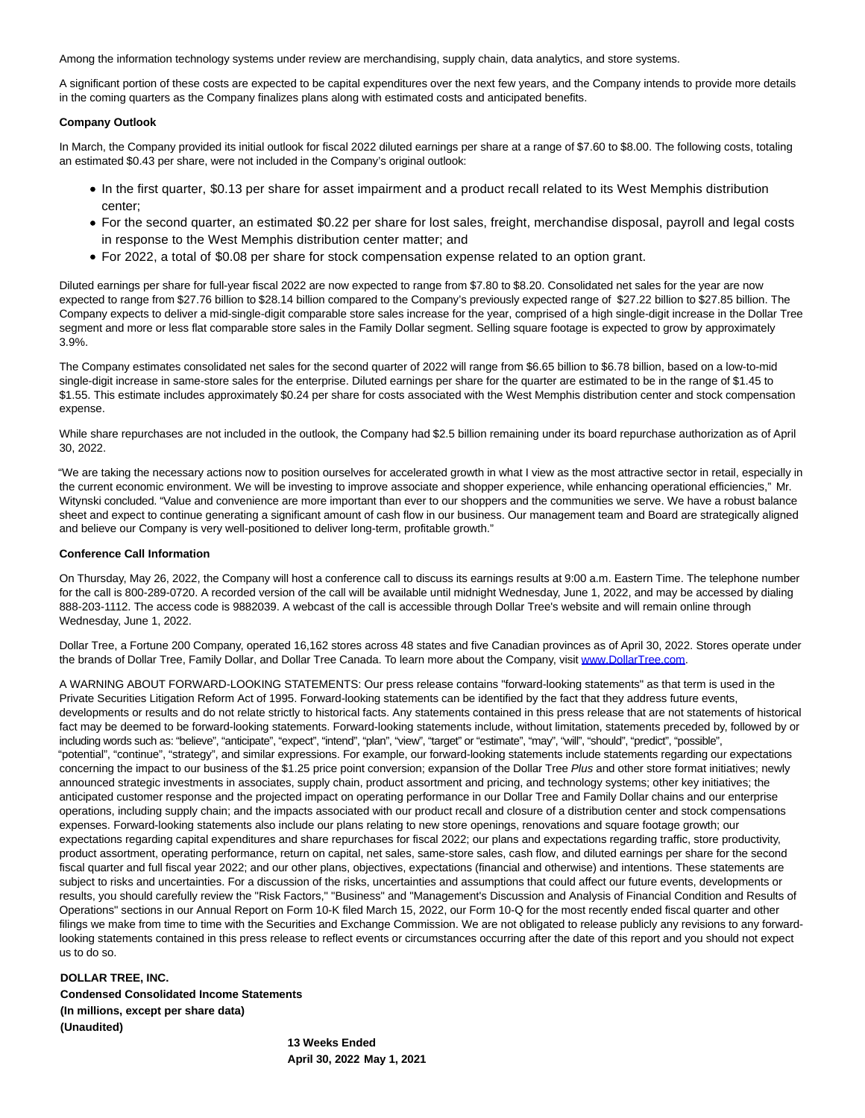Among the information technology systems under review are merchandising, supply chain, data analytics, and store systems.

A significant portion of these costs are expected to be capital expenditures over the next few years, and the Company intends to provide more details in the coming quarters as the Company finalizes plans along with estimated costs and anticipated benefits.

#### **Company Outlook**

In March, the Company provided its initial outlook for fiscal 2022 diluted earnings per share at a range of \$7.60 to \$8.00. The following costs, totaling an estimated \$0.43 per share, were not included in the Company's original outlook:

- In the first quarter, \$0.13 per share for asset impairment and a product recall related to its West Memphis distribution center;
- For the second quarter, an estimated \$0.22 per share for lost sales, freight, merchandise disposal, payroll and legal costs in response to the West Memphis distribution center matter; and
- For 2022, a total of \$0.08 per share for stock compensation expense related to an option grant.

Diluted earnings per share for full-year fiscal 2022 are now expected to range from \$7.80 to \$8.20. Consolidated net sales for the year are now expected to range from \$27.76 billion to \$28.14 billion compared to the Company's previously expected range of \$27.22 billion to \$27.85 billion. The Company expects to deliver a mid-single-digit comparable store sales increase for the year, comprised of a high single-digit increase in the Dollar Tree segment and more or less flat comparable store sales in the Family Dollar segment. Selling square footage is expected to grow by approximately 3.9%.

The Company estimates consolidated net sales for the second quarter of 2022 will range from \$6.65 billion to \$6.78 billion, based on a low-to-mid single-digit increase in same-store sales for the enterprise. Diluted earnings per share for the quarter are estimated to be in the range of \$1.45 to \$1.55. This estimate includes approximately \$0.24 per share for costs associated with the West Memphis distribution center and stock compensation expense.

While share repurchases are not included in the outlook, the Company had \$2.5 billion remaining under its board repurchase authorization as of April 30, 2022.

"We are taking the necessary actions now to position ourselves for accelerated growth in what I view as the most attractive sector in retail, especially in the current economic environment. We will be investing to improve associate and shopper experience, while enhancing operational efficiencies," Mr. Witynski concluded. "Value and convenience are more important than ever to our shoppers and the communities we serve. We have a robust balance sheet and expect to continue generating a significant amount of cash flow in our business. Our management team and Board are strategically aligned and believe our Company is very well-positioned to deliver long-term, profitable growth."

#### **Conference Call Information**

On Thursday, May 26, 2022, the Company will host a conference call to discuss its earnings results at 9:00 a.m. Eastern Time. The telephone number for the call is 800-289-0720. A recorded version of the call will be available until midnight Wednesday, June 1, 2022, and may be accessed by dialing 888-203-1112. The access code is 9882039. A webcast of the call is accessible through Dollar Tree's website and will remain online through Wednesday, June 1, 2022.

Dollar Tree, a Fortune 200 Company, operated 16,162 stores across 48 states and five Canadian provinces as of April 30, 2022. Stores operate under the brands of Dollar Tree, Family Dollar, and Dollar Tree Canada. To learn more about the Company, visit [www.DollarTree.com.](https://cts.businesswire.com/ct/CT?id=smartlink&url=http%3A%2F%2Fwww.DollarTree.com&esheet=52731212&newsitemid=20220525005903&lan=en-US&anchor=www.DollarTree.com&index=1&md5=8720af6d5e5bc2fde843682565d85d43)

A WARNING ABOUT FORWARD-LOOKING STATEMENTS: Our press release contains "forward-looking statements" as that term is used in the Private Securities Litigation Reform Act of 1995. Forward-looking statements can be identified by the fact that they address future events, developments or results and do not relate strictly to historical facts. Any statements contained in this press release that are not statements of historical fact may be deemed to be forward-looking statements. Forward-looking statements include, without limitation, statements preceded by, followed by or including words such as: "believe", "anticipate", "expect", "intend", "plan", "view", "target" or "estimate", "may", "will", "should", "predict", "possible", "potential", "continue", "strategy", and similar expressions. For example, our forward-looking statements include statements regarding our expectations concerning the impact to our business of the \$1.25 price point conversion; expansion of the Dollar Tree Plus and other store format initiatives; newly announced strategic investments in associates, supply chain, product assortment and pricing, and technology systems; other key initiatives; the anticipated customer response and the projected impact on operating performance in our Dollar Tree and Family Dollar chains and our enterprise operations, including supply chain; and the impacts associated with our product recall and closure of a distribution center and stock compensations expenses. Forward-looking statements also include our plans relating to new store openings, renovations and square footage growth; our expectations regarding capital expenditures and share repurchases for fiscal 2022; our plans and expectations regarding traffic, store productivity, product assortment, operating performance, return on capital, net sales, same-store sales, cash flow, and diluted earnings per share for the second fiscal quarter and full fiscal year 2022; and our other plans, objectives, expectations (financial and otherwise) and intentions. These statements are subject to risks and uncertainties. For a discussion of the risks, uncertainties and assumptions that could affect our future events, developments or results, you should carefully review the "Risk Factors," "Business" and "Management's Discussion and Analysis of Financial Condition and Results of Operations" sections in our Annual Report on Form 10-K filed March 15, 2022, our Form 10-Q for the most recently ended fiscal quarter and other filings we make from time to time with the Securities and Exchange Commission. We are not obligated to release publicly any revisions to any forwardlooking statements contained in this press release to reflect events or circumstances occurring after the date of this report and you should not expect us to do so.

## **DOLLAR TREE, INC. Condensed Consolidated Income Statements (In millions, except per share data) (Unaudited)**

**13 Weeks Ended April 30, 2022 May 1, 2021**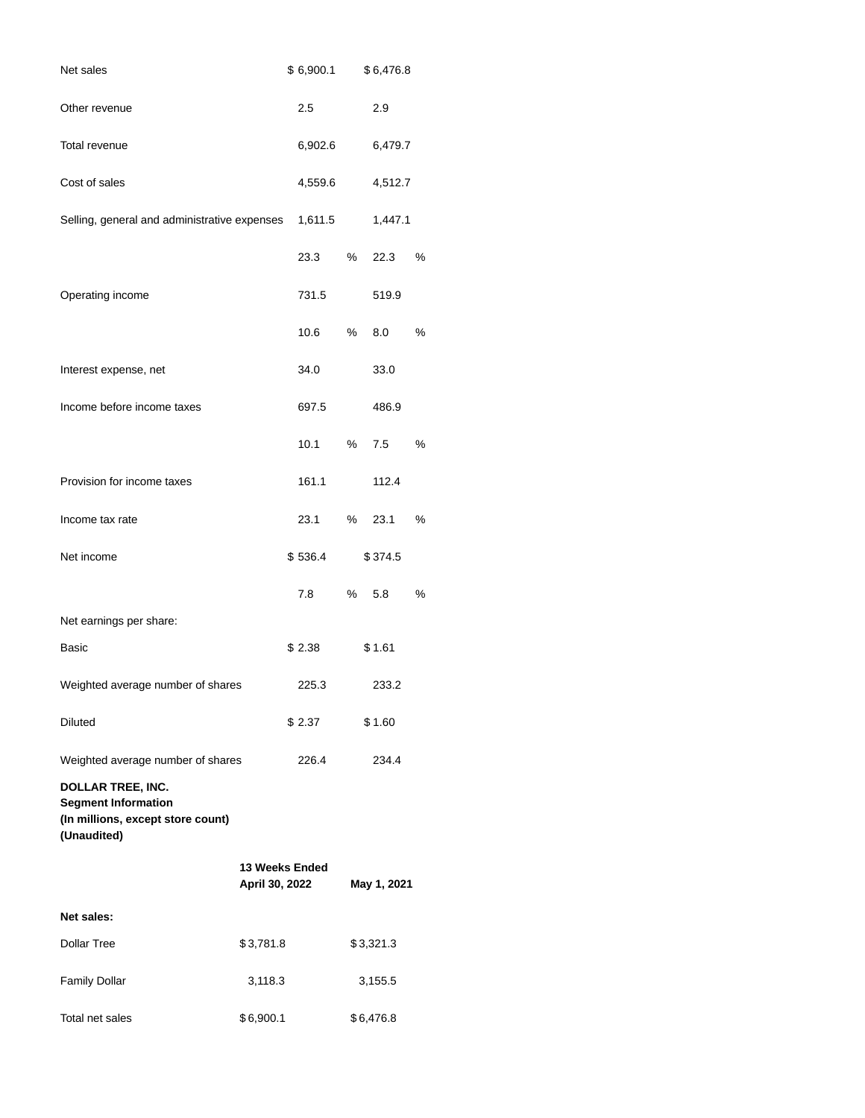| Net sales                                                                                                  |                                  | \$6,900.1 |   | \$6,476.8   |      |
|------------------------------------------------------------------------------------------------------------|----------------------------------|-----------|---|-------------|------|
| Other revenue                                                                                              |                                  | 2.5       |   | 2.9         |      |
| Total revenue                                                                                              |                                  | 6,902.6   |   | 6,479.7     |      |
| Cost of sales                                                                                              |                                  | 4,559.6   |   | 4,512.7     |      |
| Selling, general and administrative expenses                                                               |                                  | 1,611.5   |   | 1,447.1     |      |
|                                                                                                            |                                  | 23.3      | % | 22.3        | %    |
| Operating income                                                                                           |                                  | 731.5     |   | 519.9       |      |
|                                                                                                            |                                  | 10.6      | % | 8.0         | $\%$ |
| Interest expense, net                                                                                      |                                  | 34.0      |   | 33.0        |      |
| Income before income taxes                                                                                 |                                  | 697.5     |   | 486.9       |      |
|                                                                                                            |                                  | 10.1      | % | 7.5         | $\%$ |
| Provision for income taxes                                                                                 |                                  | 161.1     |   | 112.4       |      |
| Income tax rate                                                                                            |                                  | 23.1      | % | 23.1        | %    |
| Net income                                                                                                 |                                  | \$536.4   |   | \$374.5     |      |
|                                                                                                            |                                  | 7.8       | % | 5.8         | $\%$ |
| Net earnings per share:                                                                                    |                                  |           |   |             |      |
| Basic                                                                                                      |                                  | \$2.38    |   | \$1.61      |      |
| Weighted average number of shares                                                                          |                                  | 225.3     |   | 233.2       |      |
| <b>Diluted</b>                                                                                             |                                  | \$ 2.37   |   | \$1.60      |      |
| Weighted average number of shares                                                                          |                                  | 226.4     |   | 234.4       |      |
| <b>DOLLAR TREE, INC.</b><br><b>Segment Information</b><br>(In millions, except store count)<br>(Unaudited) |                                  |           |   |             |      |
|                                                                                                            | 13 Weeks Ended<br>April 30, 2022 |           |   | May 1, 2021 |      |
| Net sales:                                                                                                 |                                  |           |   |             |      |
| Dollar Tree                                                                                                | \$3,781.8                        |           |   | \$3,321.3   |      |
| <b>Family Dollar</b>                                                                                       | 3,118.3                          |           |   | 3,155.5     |      |
| Total net sales                                                                                            | \$6,900.1                        |           |   | \$6,476.8   |      |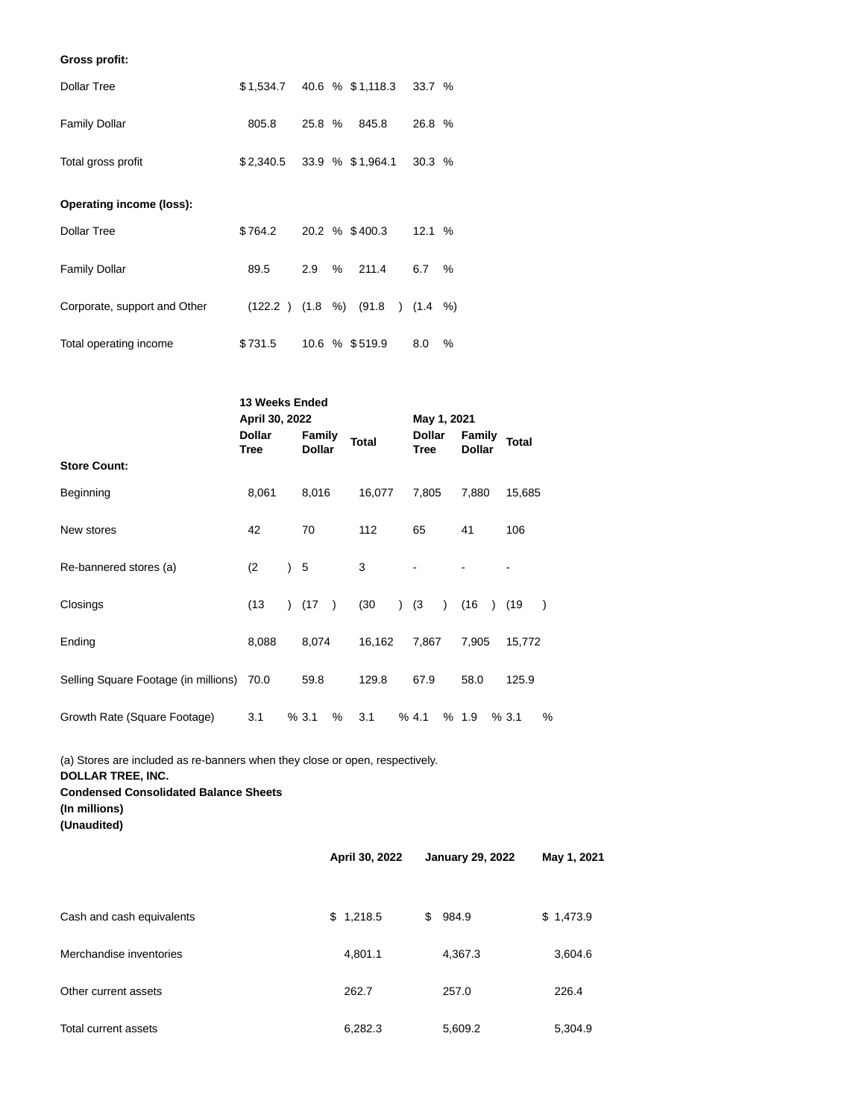### **Gross profit:**

| <b>Dollar Tree</b>           | \$1,534.7 40.6 % \$1,118.3 33.7 % |        |                             |                                        |        |   |
|------------------------------|-----------------------------------|--------|-----------------------------|----------------------------------------|--------|---|
| <b>Family Dollar</b>         | 805.8                             | 25.8 % |                             | 845.8                                  | 26.8 % |   |
| Total gross profit           |                                   |        | $$2,340.5$ 33.9 % \$1,964.1 |                                        | 30.3%  |   |
| Operating income (loss):     |                                   |        |                             |                                        |        |   |
| Dollar Tree                  | \$764.2                           |        |                             | 20.2 % \$400.3                         | 12.1%  |   |
| Family Dollar                | 89.5                              | 2.9    | %                           | 211.4                                  | 6.7    | % |
| Corporate, support and Other |                                   |        |                             | $(122.2)$ $(1.8\%)$ $(91.8)$ $(1.4\%)$ |        |   |
| Total operating income       | \$731.5                           |        |                             | 10.6 % \$519.9                         | 8.0    | ℅ |

|                                           | 13 Weeks Ended<br>April 30, 2022 |                         |               |              | May 1, 2021           |           |                  |              |   |
|-------------------------------------------|----------------------------------|-------------------------|---------------|--------------|-----------------------|-----------|------------------|--------------|---|
|                                           | Dollar<br><b>Tree</b>            | Family<br><b>Dollar</b> |               | <b>Total</b> | Dollar<br><b>Tree</b> |           | Family<br>Dollar | <b>Total</b> |   |
| <b>Store Count:</b>                       |                                  |                         |               |              |                       |           |                  |              |   |
| Beginning                                 | 8,061                            | 8,016                   |               | 16,077       | 7,805                 |           | 7,880            | 15,685       |   |
| New stores                                | 42                               | 70                      |               | 112          | 65                    |           | 41               | 106          |   |
| Re-bannered stores (a)                    | (2)                              | 5                       |               | 3            |                       |           |                  |              |   |
| Closings                                  | (13)                             | ) (17                   | $\rightarrow$ | (30)         | ) (3)                 | $\lambda$ | (16              | ) (19        |   |
| Ending                                    | 8,088                            | 8,074                   |               | 16,162       | 7,867                 |           | 7,905            | 15,772       |   |
| Selling Square Footage (in millions) 70.0 |                                  | 59.8                    |               | 129.8        | 67.9                  |           | 58.0             | 125.9        |   |
| Growth Rate (Square Footage)              | 3.1                              | % 3.1                   | %             | 3.1          | % 4.1                 |           | % 1.9            | % 3.1        | % |

(a) Stores are included as re-banners when they close or open, respectively. **DOLLAR TREE, INC. Condensed Consolidated Balance Sheets (In millions)**

**(Unaudited)**

|                           | April 30, 2022 | <b>January 29, 2022</b> | May 1, 2021 |  |  |
|---------------------------|----------------|-------------------------|-------------|--|--|
| Cash and cash equivalents | \$1,218.5      | 984.9<br>\$             | \$1,473.9   |  |  |
| Merchandise inventories   | 4,801.1        | 4,367.3                 | 3,604.6     |  |  |
| Other current assets      | 262.7          | 257.0                   | 226.4       |  |  |
| Total current assets      | 6,282.3        | 5,609.2                 | 5,304.9     |  |  |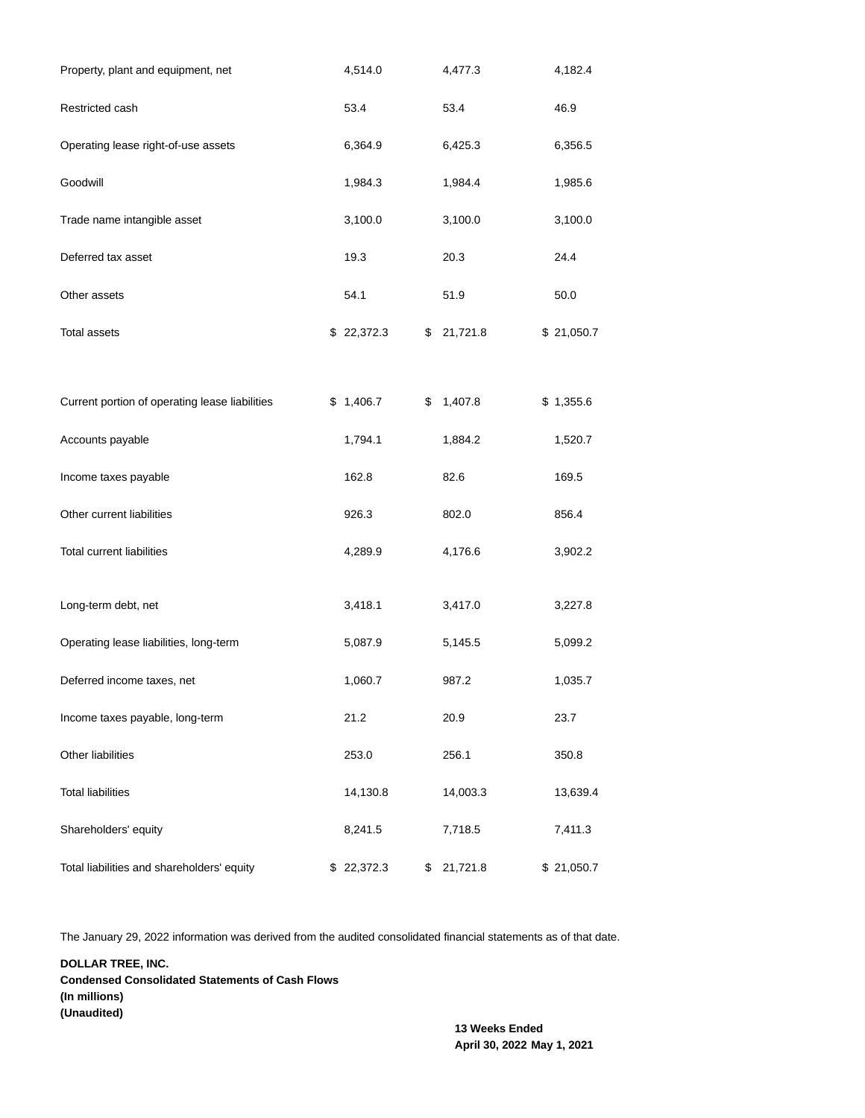| Property, plant and equipment, net             | 4,514.0       | 4,477.3        | 4,182.4    |
|------------------------------------------------|---------------|----------------|------------|
| Restricted cash                                | 53.4          | 53.4           | 46.9       |
| Operating lease right-of-use assets            | 6,364.9       | 6,425.3        | 6,356.5    |
| Goodwill                                       | 1,984.3       | 1,984.4        | 1,985.6    |
| Trade name intangible asset                    | 3,100.0       | 3,100.0        | 3,100.0    |
| Deferred tax asset                             | 19.3          | 20.3           | 24.4       |
| Other assets                                   | 54.1          | 51.9           | 50.0       |
| Total assets                                   | \$22,372.3    | \$<br>21,721.8 | \$21,050.7 |
|                                                |               |                |            |
| Current portion of operating lease liabilities | \$<br>1,406.7 | \$<br>1,407.8  | \$1,355.6  |
| Accounts payable                               | 1,794.1       | 1,884.2        | 1,520.7    |
| Income taxes payable                           | 162.8         | 82.6           | 169.5      |
| Other current liabilities                      | 926.3         | 802.0          | 856.4      |
| <b>Total current liabilities</b>               | 4,289.9       | 4,176.6        | 3,902.2    |
| Long-term debt, net                            | 3,418.1       | 3,417.0        | 3,227.8    |
| Operating lease liabilities, long-term         | 5,087.9       | 5,145.5        | 5,099.2    |
| Deferred income taxes, net                     | 1,060.7       | 987.2          | 1,035.7    |
| Income taxes payable, long-term                | 21.2          | 20.9           | 23.7       |
| Other liabilities                              | 253.0         | 256.1          | 350.8      |
| <b>Total liabilities</b>                       | 14,130.8      | 14,003.3       | 13,639.4   |
| Shareholders' equity                           | 8,241.5       | 7,718.5        | 7,411.3    |
| Total liabilities and shareholders' equity     | \$ 22,372.3   | \$<br>21,721.8 | \$21,050.7 |

The January 29, 2022 information was derived from the audited consolidated financial statements as of that date.

**DOLLAR TREE, INC. Condensed Consolidated Statements of Cash Flows (In millions) (Unaudited)**

> **13 Weeks Ended April 30, 2022 May 1, 2021**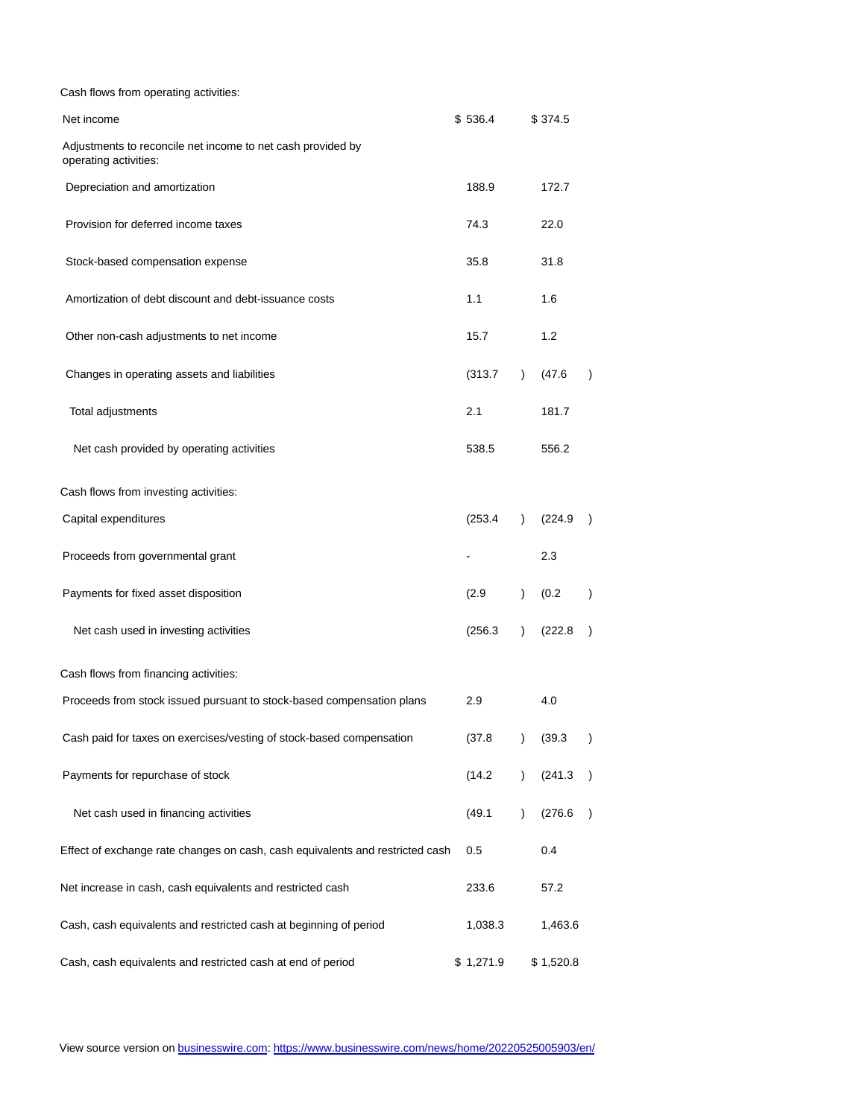| Cash flows from operating activities:                                                |           |               |           |               |
|--------------------------------------------------------------------------------------|-----------|---------------|-----------|---------------|
| Net income                                                                           | \$536.4   |               | \$374.5   |               |
| Adjustments to reconcile net income to net cash provided by<br>operating activities: |           |               |           |               |
| Depreciation and amortization                                                        | 188.9     |               | 172.7     |               |
| Provision for deferred income taxes                                                  | 74.3      |               | 22.0      |               |
| Stock-based compensation expense                                                     | 35.8      |               | 31.8      |               |
| Amortization of debt discount and debt-issuance costs                                | 1.1       |               | 1.6       |               |
| Other non-cash adjustments to net income                                             | 15.7      |               | 1.2       |               |
| Changes in operating assets and liabilities                                          | (313.7)   | $\lambda$     | (47.6)    |               |
| Total adjustments                                                                    | 2.1       |               | 181.7     |               |
| Net cash provided by operating activities                                            | 538.5     |               | 556.2     |               |
| Cash flows from investing activities:                                                |           |               |           |               |
| Capital expenditures                                                                 | (253.4)   | $\lambda$     | (224.9)   |               |
| Proceeds from governmental grant                                                     |           |               | 2.3       |               |
| Payments for fixed asset disposition                                                 | (2.9)     | $\mathcal{E}$ | (0.2)     |               |
| Net cash used in investing activities                                                | (256.3)   | $\mathcal{L}$ | (222.8)   |               |
| Cash flows from financing activities:                                                |           |               |           |               |
| Proceeds from stock issued pursuant to stock-based compensation plans                | 2.9       |               | 4.0       |               |
| Cash paid for taxes on exercises/vesting of stock-based compensation                 | (37.8)    | $\mathcal{E}$ | (39.3)    |               |
| Payments for repurchase of stock                                                     | (14.2)    | $\mathcal{L}$ | (241.3)   |               |
| Net cash used in financing activities                                                | (49.1)    | $\mathcal{L}$ | (276.6)   | $\mathcal{E}$ |
| Effect of exchange rate changes on cash, cash equivalents and restricted cash        | 0.5       |               | 0.4       |               |
| Net increase in cash, cash equivalents and restricted cash                           | 233.6     |               | 57.2      |               |
| Cash, cash equivalents and restricted cash at beginning of period                    | 1,038.3   |               | 1,463.6   |               |
| Cash, cash equivalents and restricted cash at end of period                          | \$1,271.9 |               | \$1,520.8 |               |